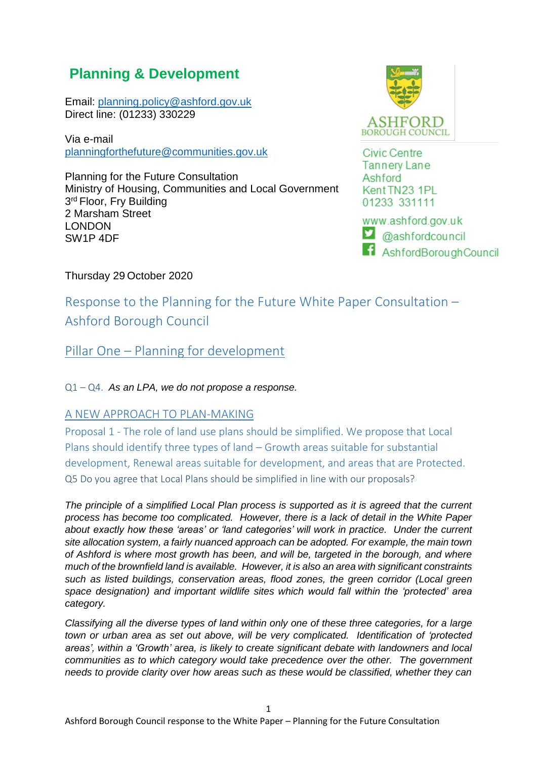# **Planning & Development**

Email: [planning.policy@ashford.gov.uk](mailto:planning.policy@ashford.gov.uk) Direct line: (01233) 330229

Via e-mail [planningforthefuture@communities.gov.uk](mailto:planningforthefuture@communities.gov.uk)

Planning for the Future Consultation Ministry of Housing, Communities and Local Government 3<sup>rd</sup> Floor, Fry Building 2 Marsham Street LONDON SW1P 4DF



**Civic Centre Tannery Lane** Ashford Kent TN23 1PL 01233 331111

www.ashford.gov.uk  $\Box$  @ashfordcouncil **f** AshfordBoroughCouncil

Thursday 29 October 2020

Response to the Planning for the Future White Paper Consultation – Ashford Borough Council

Pillar One – Planning for development

Q1 – Q4. *As an LPA, we do not propose a response.*

### A NEW APPROACH TO PLAN-MAKING

Proposal 1 - The role of land use plans should be simplified. We propose that Local Plans should identify three types of land – Growth areas suitable for substantial development, Renewal areas suitable for development, and areas that are Protected. Q5 Do you agree that Local Plans should be simplified in line with our proposals?

*The principle of a simplified Local Plan process is supported as it is agreed that the current process has become too complicated. However, there is a lack of detail in the White Paper about exactly how these 'areas' or 'land categories' will work in practice. Under the current site allocation system, a fairly nuanced approach can be adopted. For example, the main town of Ashford is where most growth has been, and will be, targeted in the borough, and where much of the brownfield land is available. However, it is also an area with significant constraints such as listed buildings, conservation areas, flood zones, the green corridor (Local green space designation) and important wildlife sites which would fall within the 'protected' area category.*

*Classifying all the diverse types of land within only one of these three categories, for a large town or urban area as set out above, will be very complicated. Identification of 'protected areas', within a 'Growth' area, is likely to create significant debate with landowners and local communities as to which category would take precedence over the other. The government needs to provide clarity over how areas such as these would be classified, whether they can*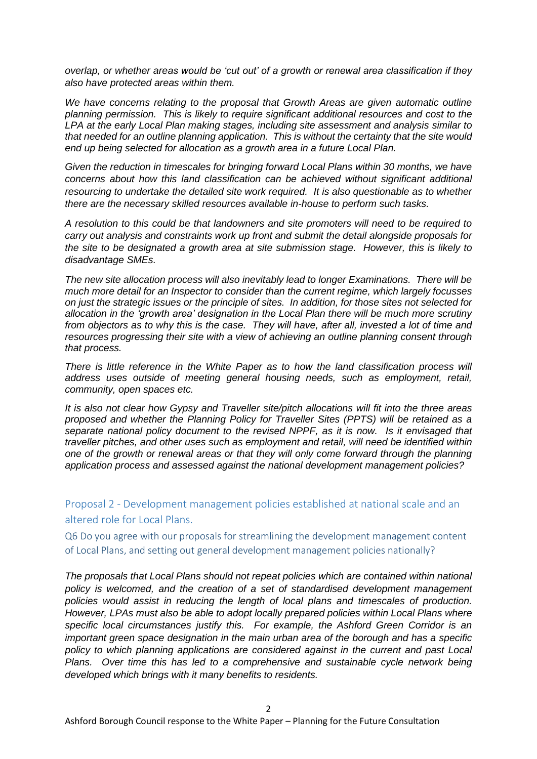*overlap, or whether areas would be 'cut out' of a growth or renewal area classification if they also have protected areas within them.*

*We have concerns relating to the proposal that Growth Areas are given automatic outline planning permission. This is likely to require significant additional resources and cost to the LPA at the early Local Plan making stages, including site assessment and analysis similar to that needed for an outline planning application. This is without the certainty that the site would end up being selected for allocation as a growth area in a future Local Plan.*

*Given the reduction in timescales for bringing forward Local Plans within 30 months, we have concerns about how this land classification can be achieved without significant additional resourcing to undertake the detailed site work required. It is also questionable as to whether there are the necessary skilled resources available in-house to perform such tasks.*

*A resolution to this could be that landowners and site promoters will need to be required to carry out analysis and constraints work up front and submit the detail alongside proposals for the site to be designated a growth area at site submission stage. However, this is likely to disadvantage SMEs.*

*The new site allocation process will also inevitably lead to longer Examinations. There will be much more detail for an Inspector to consider than the current regime, which largely focusses on just the strategic issues or the principle of sites. In addition, for those sites not selected for allocation in the 'growth area' designation in the Local Plan there will be much more scrutiny from objectors as to why this is the case. They will have, after all, invested a lot of time and resources progressing their site with a view of achieving an outline planning consent through that process.*

*There is little reference in the White Paper as to how the land classification process will address uses outside of meeting general housing needs, such as employment, retail, community, open spaces etc.*

*It is also not clear how Gypsy and Traveller site/pitch allocations will fit into the three areas proposed and whether the Planning Policy for Traveller Sites (PPTS) will be retained as a separate national policy document to the revised NPPF, as it is now. Is it envisaged that traveller pitches, and other uses such as employment and retail, will need be identified within one of the growth or renewal areas or that they will only come forward through the planning application process and assessed against the national development management policies?*

Proposal 2 - Development management policies established at national scale and an altered role for Local Plans.

Q6 Do you agree with our proposals for streamlining the development management content of Local Plans, and setting out general development management policies nationally?

*The proposals that Local Plans should not repeat policies which are contained within national policy is welcomed, and the creation of a set of standardised development management policies would assist in reducing the length of local plans and timescales of production. However, LPAs must also be able to adopt locally prepared policies within Local Plans where specific local circumstances justify this. For example, the Ashford Green Corridor is an important green space designation in the main urban area of the borough and has a specific policy to which planning applications are considered against in the current and past Local Plans. Over time this has led to a comprehensive and sustainable cycle network being developed which brings with it many benefits to residents.*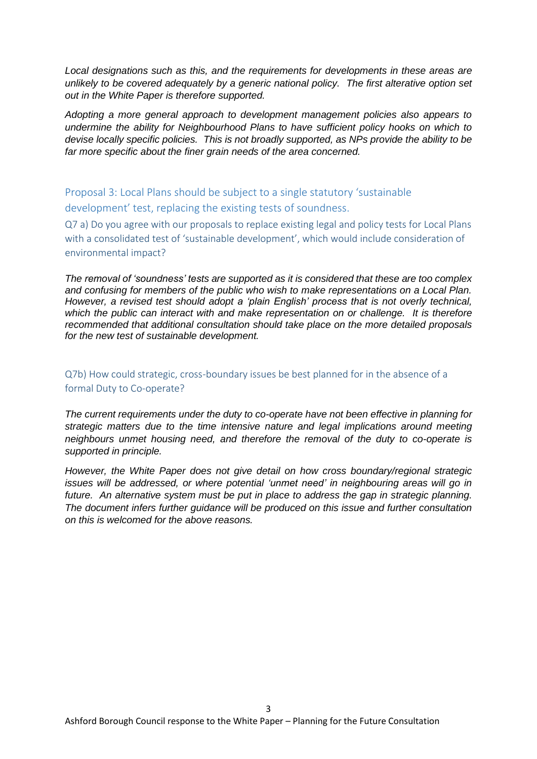*Local designations such as this, and the requirements for developments in these areas are unlikely to be covered adequately by a generic national policy. The first alterative option set out in the White Paper is therefore supported.*

*Adopting a more general approach to development management policies also appears to undermine the ability for Neighbourhood Plans to have sufficient policy hooks on which to devise locally specific policies. This is not broadly supported, as NPs provide the ability to be far more specific about the finer grain needs of the area concerned.*

Proposal 3: Local Plans should be subject to a single statutory 'sustainable development' test, replacing the existing tests of soundness.

Q7 a) Do you agree with our proposals to replace existing legal and policy tests for Local Plans with a consolidated test of 'sustainable development', which would include consideration of environmental impact?

*The removal of 'soundness' tests are supported as it is considered that these are too complex and confusing for members of the public who wish to make representations on a Local Plan. However, a revised test should adopt a 'plain English' process that is not overly technical, which the public can interact with and make representation on or challenge. It is therefore recommended that additional consultation should take place on the more detailed proposals for the new test of sustainable development.*

Q7b) How could strategic, cross-boundary issues be best planned for in the absence of a formal Duty to Co-operate?

*The current requirements under the duty to co-operate have not been effective in planning for strategic matters due to the time intensive nature and legal implications around meeting neighbours unmet housing need, and therefore the removal of the duty to co-operate is supported in principle.*

*However, the White Paper does not give detail on how cross boundary/regional strategic issues will be addressed, or where potential 'unmet need' in neighbouring areas will go in future. An alternative system must be put in place to address the gap in strategic planning. The document infers further guidance will be produced on this issue and further consultation on this is welcomed for the above reasons.*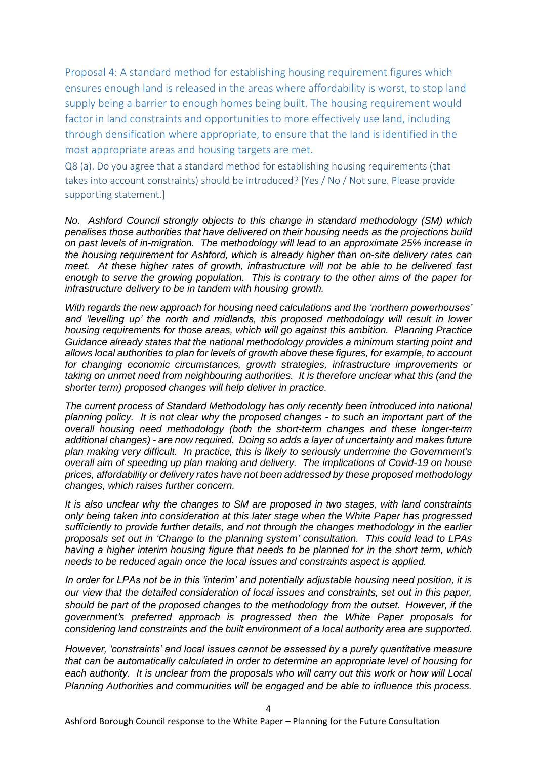Proposal 4: A standard method for establishing housing requirement figures which ensures enough land is released in the areas where affordability is worst, to stop land supply being a barrier to enough homes being built. The housing requirement would factor in land constraints and opportunities to more effectively use land, including through densification where appropriate, to ensure that the land is identified in the most appropriate areas and housing targets are met.

Q8 (a). Do you agree that a standard method for establishing housing requirements (that takes into account constraints) should be introduced? [Yes / No / Not sure. Please provide supporting statement.]

*No. Ashford Council strongly objects to this change in standard methodology (SM) which penalises those authorities that have delivered on their housing needs as the projections build on past levels of in-migration. The methodology will lead to an approximate 25% increase in the housing requirement for Ashford, which is already higher than on-site delivery rates can meet. At these higher rates of growth, infrastructure will not be able to be delivered fast enough to serve the growing population. This is contrary to the other aims of the paper for infrastructure delivery to be in tandem with housing growth.*

*With regards the new approach for housing need calculations and the 'northern powerhouses' and 'levelling up' the north and midlands, this proposed methodology will result in lower housing requirements for those areas, which will go against this ambition. Planning Practice Guidance already states that the national methodology provides a minimum starting point and allows local authorities to plan for levels of growth above these figures, for example, to account for changing economic circumstances, growth strategies, infrastructure improvements or taking on unmet need from neighbouring authorities. It is therefore unclear what this (and the shorter term) proposed changes will help deliver in practice.*

*The current process of Standard Methodology has only recently been introduced into national planning policy. It is not clear why the proposed changes - to such an important part of the overall housing need methodology (both the short-term changes and these longer-term additional changes) - are now required. Doing so adds a layer of uncertainty and makes future plan making very difficult. In practice, this is likely to seriously undermine the Government's overall aim of speeding up plan making and delivery. The implications of Covid-19 on house prices, affordability or delivery rates have not been addressed by these proposed methodology changes, which raises further concern.*

*It is also unclear why the changes to SM are proposed in two stages, with land constraints only being taken into consideration at this later stage when the White Paper has progressed sufficiently to provide further details, and not through the changes methodology in the earlier proposals set out in 'Change to the planning system' consultation. This could lead to LPAs having a higher interim housing figure that needs to be planned for in the short term, which needs to be reduced again once the local issues and constraints aspect is applied.*

*In order for LPAs not be in this 'interim' and potentially adjustable housing need position, it is our view that the detailed consideration of local issues and constraints, set out in this paper, should be part of the proposed changes to the methodology from the outset. However, if the government's preferred approach is progressed then the White Paper proposals for considering land constraints and the built environment of a local authority area are supported.*

*However, 'constraints' and local issues cannot be assessed by a purely quantitative measure that can be automatically calculated in order to determine an appropriate level of housing for each authority. It is unclear from the proposals who will carry out this work or how will Local Planning Authorities and communities will be engaged and be able to influence this process.*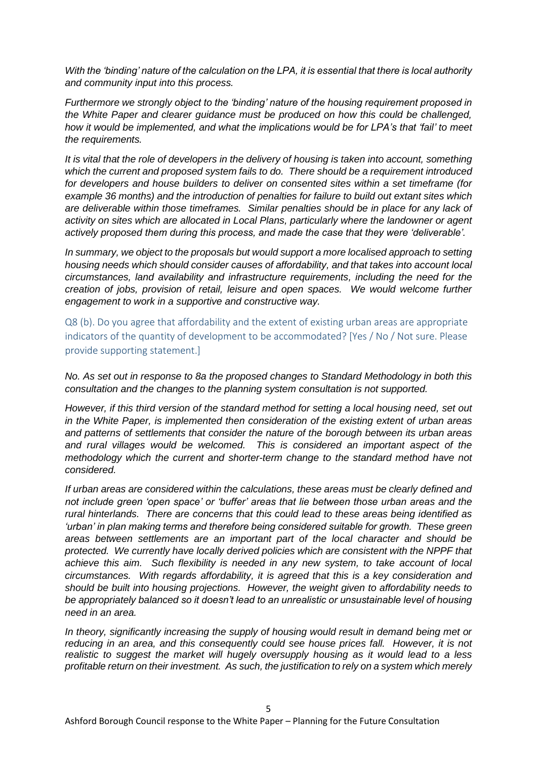*With the 'binding' nature of the calculation on the LPA, it is essential that there is local authority and community input into this process.*

*Furthermore we strongly object to the 'binding' nature of the housing requirement proposed in the White Paper and clearer guidance must be produced on how this could be challenged, how it would be implemented, and what the implications would be for LPA's that 'fail' to meet the requirements.*

*It is vital that the role of developers in the delivery of housing is taken into account, something which the current and proposed system fails to do. There should be a requirement introduced for developers and house builders to deliver on consented sites within a set timeframe (for example 36 months) and the introduction of penalties for failure to build out extant sites which are deliverable within those timeframes. Similar penalties should be in place for any lack of activity on sites which are allocated in Local Plans, particularly where the landowner or agent actively proposed them during this process, and made the case that they were 'deliverable'.* 

*In summary, we object to the proposals but would support a more localised approach to setting housing needs which should consider causes of affordability, and that takes into account local circumstances, land availability and infrastructure requirements, including the need for the creation of jobs, provision of retail, leisure and open spaces. We would welcome further engagement to work in a supportive and constructive way.* 

Q8 (b). Do you agree that affordability and the extent of existing urban areas are appropriate indicators of the quantity of development to be accommodated? [Yes / No / Not sure. Please provide supporting statement.]

*No. As set out in response to 8a the proposed changes to Standard Methodology in both this consultation and the changes to the planning system consultation is not supported.*

*However, if this third version of the standard method for setting a local housing need, set out in the White Paper, is implemented then consideration of the existing extent of urban areas and patterns of settlements that consider the nature of the borough between its urban areas and rural villages would be welcomed. This is considered an important aspect of the methodology which the current and shorter-term change to the standard method have not considered.*

*If urban areas are considered within the calculations, these areas must be clearly defined and not include green 'open space' or 'buffer' areas that lie between those urban areas and the rural hinterlands. There are concerns that this could lead to these areas being identified as 'urban' in plan making terms and therefore being considered suitable for growth. These green areas between settlements are an important part of the local character and should be protected. We currently have locally derived policies which are consistent with the NPPF that achieve this aim. Such flexibility is needed in any new system, to take account of local circumstances. With regards affordability, it is agreed that this is a key consideration and should be built into housing projections. However, the weight given to affordability needs to be appropriately balanced so it doesn't lead to an unrealistic or unsustainable level of housing need in an area.*

*In theory, significantly increasing the supply of housing would result in demand being met or reducing in an area, and this consequently could see house prices fall. However, it is not realistic to suggest the market will hugely oversupply housing as it would lead to a less profitable return on their investment. As such, the justification to rely on a system which merely*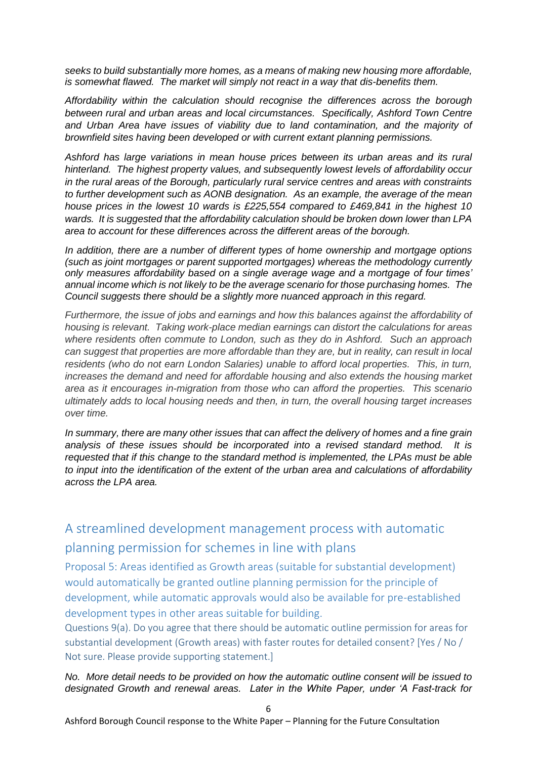*seeks to build substantially more homes, as a means of making new housing more affordable, is somewhat flawed. The market will simply not react in a way that dis-benefits them.*

*Affordability within the calculation should recognise the differences across the borough between rural and urban areas and local circumstances. Specifically, Ashford Town Centre and Urban Area have issues of viability due to land contamination, and the majority of brownfield sites having been developed or with current extant planning permissions.*

*Ashford has large variations in mean house prices between its urban areas and its rural hinterland. The highest property values, and subsequently lowest levels of affordability occur in the rural areas of the Borough, particularly rural service centres and areas with constraints to further development such as AONB designation. As an example, the average of the mean house prices in the lowest 10 wards is £225,554 compared to £469,841 in the highest 10 wards. It is suggested that the affordability calculation should be broken down lower than LPA area to account for these differences across the different areas of the borough.*

*In addition, there are a number of different types of home ownership and mortgage options (such as joint mortgages or parent supported mortgages) whereas the methodology currently only measures affordability based on a single average wage and a mortgage of four times' annual income which is not likely to be the average scenario for those purchasing homes. The Council suggests there should be a slightly more nuanced approach in this regard.*

*Furthermore, the issue of jobs and earnings and how this balances against the affordability of housing is relevant. Taking work-place median earnings can distort the calculations for areas where residents often commute to London, such as they do in Ashford. Such an approach can suggest that properties are more affordable than they are, but in reality, can result in local residents (who do not earn London Salaries) unable to afford local properties. This, in turn, increases the demand and need for affordable housing and also extends the housing market area as it encourages in-migration from those who can afford the properties. This scenario ultimately adds to local housing needs and then, in turn, the overall housing target increases over time.*

*In summary, there are many other issues that can affect the delivery of homes and a fine grain analysis of these issues should be incorporated into a revised standard method. It is requested that if this change to the standard method is implemented, the LPAs must be able to input into the identification of the extent of the urban area and calculations of affordability across the LPA area.*

# A streamlined development management process with automatic planning permission for schemes in line with plans

Proposal 5: Areas identified as Growth areas (suitable for substantial development) would automatically be granted outline planning permission for the principle of development, while automatic approvals would also be available for pre-established development types in other areas suitable for building.

Questions 9(a). Do you agree that there should be automatic outline permission for areas for substantial development (Growth areas) with faster routes for detailed consent? [Yes / No / Not sure. Please provide supporting statement.]

#### *No. More detail needs to be provided on how the automatic outline consent will be issued to designated Growth and renewal areas. Later in the White Paper, under 'A Fast-track for*

6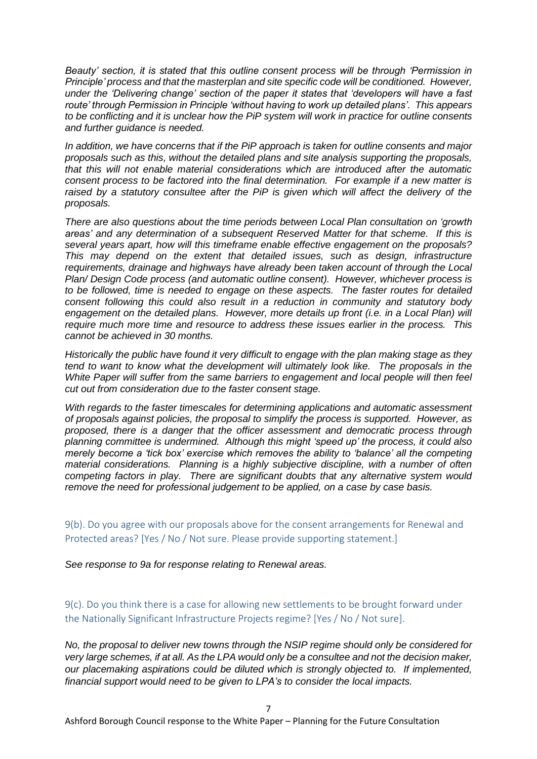*Beauty' section, it is stated that this outline consent process will be through 'Permission in Principle' process and that the masterplan and site specific code will be conditioned. However, under the 'Delivering change' section of the paper it states that 'developers will have a fast route' through Permission in Principle 'without having to work up detailed plans'. This appears to be conflicting and it is unclear how the PiP system will work in practice for outline consents and further guidance is needed.*

*In addition, we have concerns that if the PiP approach is taken for outline consents and major proposals such as this, without the detailed plans and site analysis supporting the proposals, that this will not enable material considerations which are introduced after the automatic consent process to be factored into the final determination. For example if a new matter is*  raised by a statutory consultee after the PiP is given which will affect the delivery of the *proposals.*

*There are also questions about the time periods between Local Plan consultation on 'growth areas' and any determination of a subsequent Reserved Matter for that scheme. If this is several years apart, how will this timeframe enable effective engagement on the proposals? This may depend on the extent that detailed issues, such as design, infrastructure requirements, drainage and highways have already been taken account of through the Local Plan/ Design Code process (and automatic outline consent). However, whichever process is to be followed, time is needed to engage on these aspects. The faster routes for detailed consent following this could also result in a reduction in community and statutory body engagement on the detailed plans. However, more details up front (i.e. in a Local Plan) will require much more time and resource to address these issues earlier in the process. This cannot be achieved in 30 months.*

*Historically the public have found it very difficult to engage with the plan making stage as they tend to want to know what the development will ultimately look like. The proposals in the White Paper will suffer from the same barriers to engagement and local people will then feel cut out from consideration due to the faster consent stage.*

*With regards to the faster timescales for determining applications and automatic assessment of proposals against policies, the proposal to simplify the process is supported. However, as proposed, there is a danger that the officer assessment and democratic process through planning committee is undermined. Although this might 'speed up' the process, it could also merely become a 'tick box' exercise which removes the ability to 'balance' all the competing material considerations. Planning is a highly subjective discipline, with a number of often competing factors in play. There are significant doubts that any alternative system would remove the need for professional judgement to be applied, on a case by case basis.*

9(b). Do you agree with our proposals above for the consent arrangements for Renewal and Protected areas? [Yes / No / Not sure. Please provide supporting statement.]

*See response to 9a for response relating to Renewal areas.*

9(c). Do you think there is a case for allowing new settlements to be brought forward under the Nationally Significant Infrastructure Projects regime? [Yes / No / Not sure].

*No, the proposal to deliver new towns through the NSIP regime should only be considered for very large schemes, if at all. As the LPA would only be a consultee and not the decision maker, our placemaking aspirations could be diluted which is strongly objected to. If implemented, financial support would need to be given to LPA's to consider the local impacts.*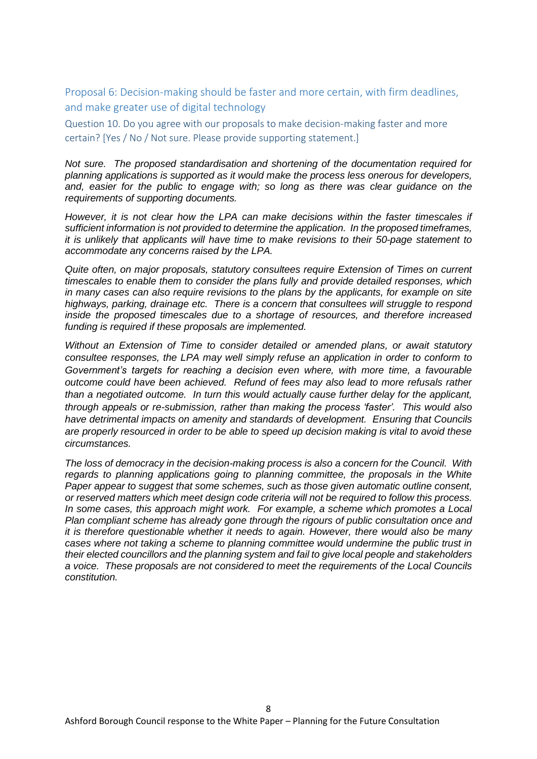Proposal 6: Decision-making should be faster and more certain, with firm deadlines, and make greater use of digital technology

Question 10. Do you agree with our proposals to make decision-making faster and more certain? [Yes / No / Not sure. Please provide supporting statement.]

*Not sure. The proposed standardisation and shortening of the documentation required for planning applications is supported as it would make the process less onerous for developers, and, easier for the public to engage with; so long as there was clear guidance on the requirements of supporting documents.*

*However, it is not clear how the LPA can make decisions within the faster timescales if sufficient information is not provided to determine the application. In the proposed timeframes, it is unlikely that applicants will have time to make revisions to their 50-page statement to accommodate any concerns raised by the LPA.*

*Quite often, on major proposals, statutory consultees require Extension of Times on current timescales to enable them to consider the plans fully and provide detailed responses, which in many cases can also require revisions to the plans by the applicants, for example on site highways, parking, drainage etc. There is a concern that consultees will struggle to respond inside the proposed timescales due to a shortage of resources, and therefore increased funding is required if these proposals are implemented.*

*Without an Extension of Time to consider detailed or amended plans, or await statutory consultee responses, the LPA may well simply refuse an application in order to conform to Government's targets for reaching a decision even where, with more time, a favourable outcome could have been achieved. Refund of fees may also lead to more refusals rather than a negotiated outcome. In turn this would actually cause further delay for the applicant, through appeals or re-submission, rather than making the process 'faster'. This would also have detrimental impacts on amenity and standards of development. Ensuring that Councils are properly resourced in order to be able to speed up decision making is vital to avoid these circumstances.*

*The loss of democracy in the decision-making process is also a concern for the Council. With regards to planning applications going to planning committee, the proposals in the White Paper appear to suggest that some schemes, such as those given automatic outline consent, or reserved matters which meet design code criteria will not be required to follow this process. In some cases, this approach might work. For example, a scheme which promotes a Local Plan compliant scheme has already gone through the rigours of public consultation once and it is therefore questionable whether it needs to again. However, there would also be many cases where not taking a scheme to planning committee would undermine the public trust in their elected councillors and the planning system and fail to give local people and stakeholders a voice. These proposals are not considered to meet the requirements of the Local Councils constitution.*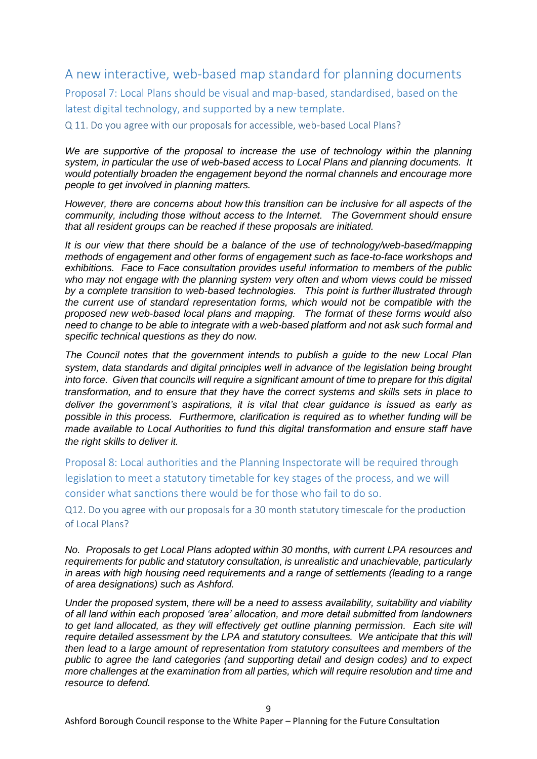## A new interactive, web-based map standard for planning documents

Proposal 7: Local Plans should be visual and map-based, standardised, based on the latest digital technology, and supported by a new template.

Q 11. Do you agree with our proposals for accessible, web-based Local Plans?

*We are supportive of the proposal to increase the use of technology within the planning system, in particular the use of web-based access to Local Plans and planning documents. It would potentially broaden the engagement beyond the normal channels and encourage more people to get involved in planning matters.*

*However, there are concerns about how this transition can be inclusive for all aspects of the community, including those without access to the Internet.  The Government should ensure that all resident groups can be reached if these proposals are initiated.*

*It is our view that there should be a balance of the use of technology/web-based/mapping methods of engagement and other forms of engagement such as face-to-face workshops and exhibitions. Face to Face consultation provides useful information to members of the public who may not engage with the planning system very often and whom views could be missed by a complete transition to web-based technologies.  This point is further illustrated through the current use of standard representation forms, which would not be compatible with the proposed new web-based local plans and mapping.  The format of these forms would also need to change to be able to integrate with a web-based platform and not ask such formal and specific technical questions as they do now.*

*The Council notes that the government intends to publish a guide to the new Local Plan system, data standards and digital principles well in advance of the legislation being brought into force. Given that councils will require a significant amount of time to prepare for this digital transformation, and to ensure that they have the correct systems and skills sets in place to deliver the government's aspirations, it is vital that clear guidance is issued as early as possible in this process. Furthermore, clarification is required as to whether funding will be made available to Local Authorities to fund this digital transformation and ensure staff have the right skills to deliver it.*

Proposal 8: Local authorities and the Planning Inspectorate will be required through legislation to meet a statutory timetable for key stages of the process, and we will consider what sanctions there would be for those who fail to do so.

Q12. Do you agree with our proposals for a 30 month statutory timescale for the production of Local Plans?

*No. Proposals to get Local Plans adopted within 30 months, with current LPA resources and requirements for public and statutory consultation, is unrealistic and unachievable, particularly in areas with high housing need requirements and a range of settlements (leading to a range of area designations) such as Ashford.*

*Under the proposed system, there will be a need to assess availability, suitability and viability of all land within each proposed 'area' allocation, and more detail submitted from landowners to get land allocated, as they will effectively get outline planning permission. Each site will require detailed assessment by the LPA and statutory consultees. We anticipate that this will then lead to a large amount of representation from statutory consultees and members of the public to agree the land categories (and supporting detail and design codes) and to expect more challenges at the examination from all parties, which will require resolution and time and resource to defend.*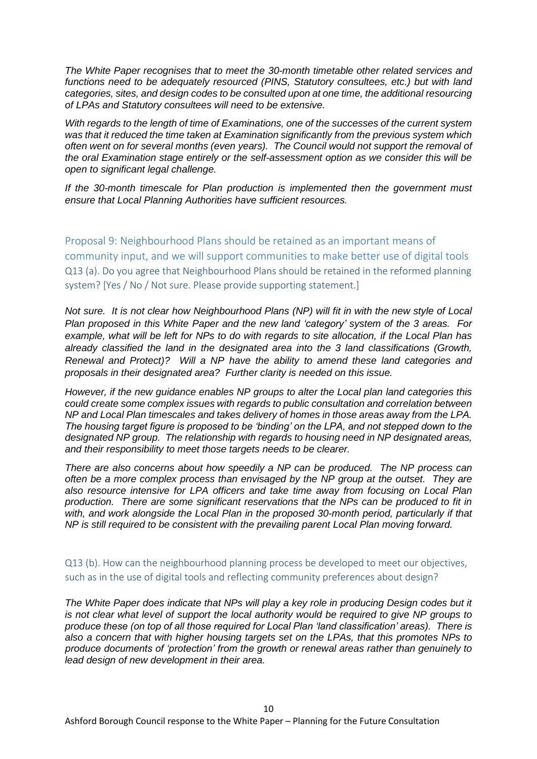*The White Paper recognises that to meet the 30-month timetable other related services and functions need to be adequately resourced (PINS, Statutory consultees, etc.) but with land categories, sites, and design codes to be consulted upon at one time, the additional resourcing of LPAs and Statutory consultees will need to be extensive.*

*With regards to the length of time of Examinations, one of the successes of the current system was that it reduced the time taken at Examination significantly from the previous system which often went on for several months (even years). The Council would not support the removal of the oral Examination stage entirely or the self-assessment option as we consider this will be open to significant legal challenge.*

*If the 30-month timescale for Plan production is implemented then the government must ensure that Local Planning Authorities have sufficient resources.*

Proposal 9: Neighbourhood Plans should be retained as an important means of community input, and we will support communities to make better use of digital tools Q13 (a). Do you agree that Neighbourhood Plans should be retained in the reformed planning system? [Yes / No / Not sure. Please provide supporting statement.]

*Not sure. It is not clear how Neighbourhood Plans (NP) will fit in with the new style of Local Plan proposed in this White Paper and the new land 'category' system of the 3 areas. For example, what will be left for NPs to do with regards to site allocation, if the Local Plan has already classified the land in the designated area into the 3 land classifications (Growth, Renewal and Protect)? Will a NP have the ability to amend these land categories and proposals in their designated area? Further clarity is needed on this issue.*

*However, if the new guidance enables NP groups to alter the Local plan land categories this could create some complex issues with regards to public consultation and correlation between NP and Local Plan timescales and takes delivery of homes in those areas away from the LPA. The housing target figure is proposed to be 'binding' on the LPA, and not stepped down to the designated NP group. The relationship with regards to housing need in NP designated areas, and their responsibility to meet those targets needs to be clearer.*

*There are also concerns about how speedily a NP can be produced. The NP process can often be a more complex process than envisaged by the NP group at the outset. They are also resource intensive for LPA officers and take time away from focusing on Local Plan production. There are some significant reservations that the NPs can be produced to fit in with, and work alongside the Local Plan in the proposed 30-month period, particularly if that NP is still required to be consistent with the prevailing parent Local Plan moving forward.*

Q13 (b). How can the neighbourhood planning process be developed to meet our objectives, such as in the use of digital tools and reflecting community preferences about design?

*The White Paper does indicate that NPs will play a key role in producing Design codes but it is not clear what level of support the local authority would be required to give NP groups to produce these (on top of all those required for Local Plan 'land classification' areas). There is also a concern that with higher housing targets set on the LPAs, that this promotes NPs to produce documents of 'protection' from the growth or renewal areas rather than genuinely to lead design of new development in their area.*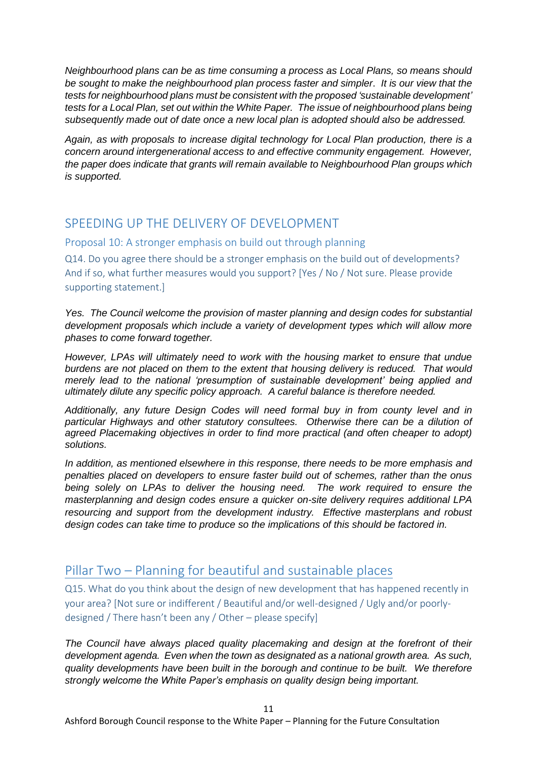*Neighbourhood plans can be as time consuming a process as Local Plans, so means should be sought to make the neighbourhood plan process faster and simpler*. *It is our view that the tests for neighbourhood plans must be consistent with the proposed 'sustainable development' tests for a Local Plan, set out within the White Paper. The issue of neighbourhood plans being subsequently made out of date once a new local plan is adopted should also be addressed.*

*Again, as with proposals to increase digital technology for Local Plan production, there is a concern around intergenerational access to and effective community engagement. However, the paper does indicate that grants will remain available to Neighbourhood Plan groups which is supported.*

## SPEEDING UP THE DELIVERY OF DEVELOPMENT

#### Proposal 10: A stronger emphasis on build out through planning

Q14. Do you agree there should be a stronger emphasis on the build out of developments? And if so, what further measures would you support? [Yes / No / Not sure. Please provide supporting statement.]

*Yes. The Council welcome the provision of master planning and design codes for substantial development proposals which include a variety of development types which will allow more phases to come forward together.* 

*However, LPAs will ultimately need to work with the housing market to ensure that undue burdens are not placed on them to the extent that housing delivery is reduced. That would merely lead to the national 'presumption of sustainable development' being applied and ultimately dilute any specific policy approach. A careful balance is therefore needed.*

*Additionally, any future Design Codes will need formal buy in from county level and in particular Highways and other statutory consultees. Otherwise there can be a dilution of agreed Placemaking objectives in order to find more practical (and often cheaper to adopt) solutions.*

*In addition, as mentioned elsewhere in this response, there needs to be more emphasis and penalties placed on developers to ensure faster build out of schemes, rather than the onus being solely on LPAs to deliver the housing need. The work required to ensure the masterplanning and design codes ensure a quicker on-site delivery requires additional LPA resourcing and support from the development industry. Effective masterplans and robust design codes can take time to produce so the implications of this should be factored in.* 

# Pillar Two – Planning for beautiful and sustainable places

Q15. What do you think about the design of new development that has happened recently in your area? [Not sure or indifferent / Beautiful and/or well-designed / Ugly and/or poorlydesigned / There hasn't been any / Other – please specify]

*The Council have always placed quality placemaking and design at the forefront of their development agenda. Even when the town as designated as a national growth area. As such, quality developments have been built in the borough and continue to be built. We therefore strongly welcome the White Paper's emphasis on quality design being important.*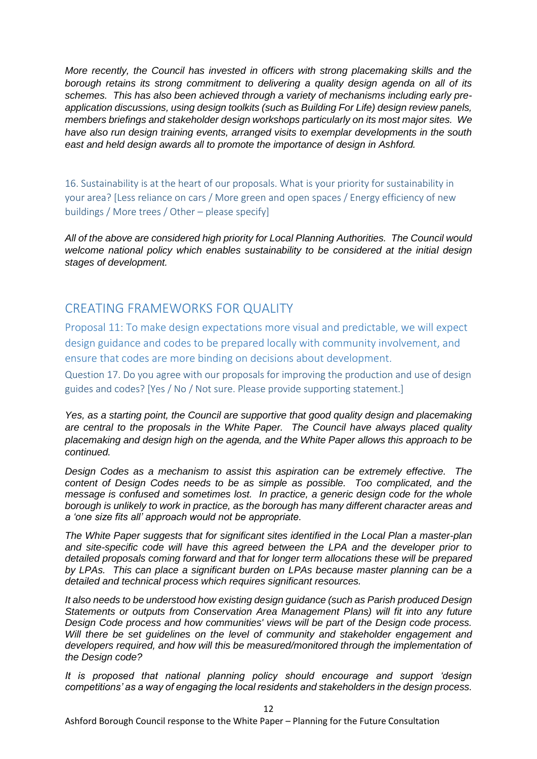*More recently, the Council has invested in officers with strong placemaking skills and the borough retains its strong commitment to delivering a quality design agenda on all of its schemes. This has also been achieved through a variety of mechanisms including early preapplication discussions, using design toolkits (such as Building For Life) design review panels, members briefings and stakeholder design workshops particularly on its most major sites. We have also run design training events, arranged visits to exemplar developments in the south east and held design awards all to promote the importance of design in Ashford.*

16. Sustainability is at the heart of our proposals. What is your priority for sustainability in your area? [Less reliance on cars / More green and open spaces / Energy efficiency of new buildings / More trees / Other – please specify]

*All of the above are considered high priority for Local Planning Authorities. The Council would welcome national policy which enables sustainability to be considered at the initial design stages of development.*

## CREATING FRAMEWORKS FOR QUALITY

Proposal 11: To make design expectations more visual and predictable, we will expect design guidance and codes to be prepared locally with community involvement, and ensure that codes are more binding on decisions about development.

Question 17. Do you agree with our proposals for improving the production and use of design guides and codes? [Yes / No / Not sure. Please provide supporting statement.]

*Yes, as a starting point, the Council are supportive that good quality design and placemaking are central to the proposals in the White Paper. The Council have always placed quality placemaking and design high on the agenda, and the White Paper allows this approach to be continued.*

*Design Codes as a mechanism to assist this aspiration can be extremely effective. The content of Design Codes needs to be as simple as possible. Too complicated, and the message is confused and sometimes lost. In practice, a generic design code for the whole borough is unlikely to work in practice, as the borough has many different character areas and a 'one size fits all' approach would not be appropriate.*

*The White Paper suggests that for significant sites identified in the Local Plan a master-plan and site-specific code will have this agreed between the LPA and the developer prior to detailed proposals coming forward and that for longer term allocations these will be prepared by LPAs. This can place a significant burden on LPAs because master planning can be a detailed and technical process which requires significant resources.*

*It also needs to be understood how existing design guidance (such as Parish produced Design Statements or outputs from Conservation Area Management Plans) will fit into any future Design Code process and how communities' views will be part of the Design code process. Will there be set guidelines on the level of community and stakeholder engagement and developers required, and how will this be measured/monitored through the implementation of the Design code?*

*It is proposed that national planning policy should encourage and support 'design competitions' as a way of engaging the local residents and stakeholders in the design process.*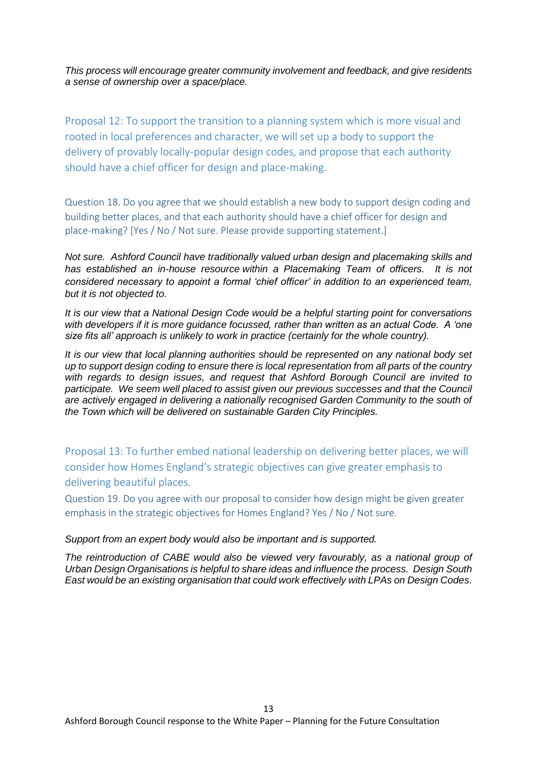*This process will encourage greater community involvement and feedback, and give residents a sense of ownership over a space/place.*

Proposal 12: To support the transition to a planning system which is more visual and rooted in local preferences and character, we will set up a body to support the delivery of provably locally-popular design codes, and propose that each authority should have a chief officer for design and place-making.

Question 18. Do you agree that we should establish a new body to support design coding and building better places, and that each authority should have a chief officer for design and place-making? [Yes / No / Not sure. Please provide supporting statement.]

*Not sure. Ashford Council have traditionally valued urban design and placemaking skills and has established an in-house resource within a Placemaking Team of officers. It is not considered necessary to appoint a formal 'chief officer' in addition to an experienced team, but it is not objected to.*

*It is our view that a National Design Code would be a helpful starting point for conversations with developers if it is more guidance focussed, rather than written as an actual Code. A 'one size fits all' approach is unlikely to work in practice (certainly for the whole country).*

*It is our view that local planning authorities should be represented on any national body set up to support design coding to ensure there is local representation from all parts of the country with regards to design issues, and request that Ashford Borough Council are invited to participate. We seem well placed to assist given our previous successes and that the Council are actively engaged in delivering a nationally recognised Garden Community to the south of the Town which will be delivered on sustainable Garden City Principles.*

Proposal 13: To further embed national leadership on delivering better places, we will consider how Homes England's strategic objectives can give greater emphasis to delivering beautiful places.

Question 19. Do you agree with our proposal to consider how design might be given greater emphasis in the strategic objectives for Homes England? Yes / No / Not sure.

#### *Support from an expert body would also be important and is supported.*

*The reintroduction of CABE would also be viewed very favourably, as a national group of Urban Design Organisations is helpful to share ideas and influence the process. Design South East would be an existing organisation that could work effectively with LPAs on Design Codes.*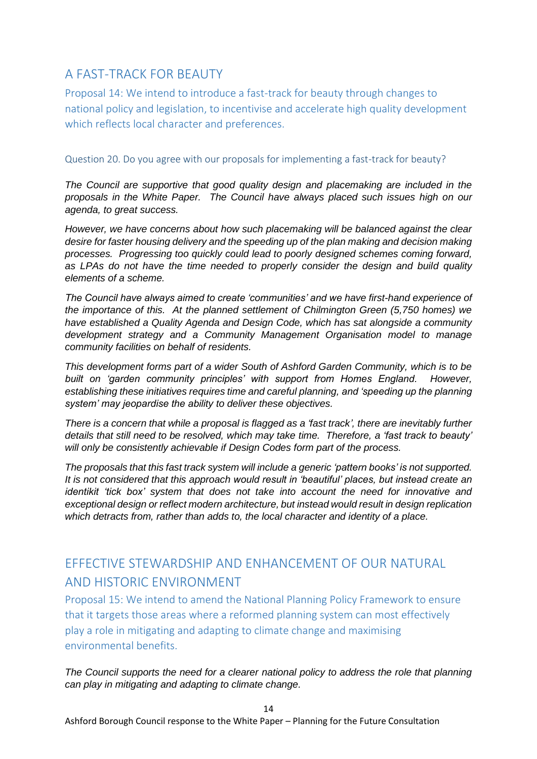## A FAST-TRACK FOR BEAUTY

Proposal 14: We intend to introduce a fast-track for beauty through changes to national policy and legislation, to incentivise and accelerate high quality development which reflects local character and preferences.

#### Question 20. Do you agree with our proposals for implementing a fast-track for beauty?

*The Council are supportive that good quality design and placemaking are included in the proposals in the White Paper. The Council have always placed such issues high on our agenda, to great success.*

*However, we have concerns about how such placemaking will be balanced against the clear desire for faster housing delivery and the speeding up of the plan making and decision making processes. Progressing too quickly could lead to poorly designed schemes coming forward, as LPAs do not have the time needed to properly consider the design and build quality elements of a scheme.*

*The Council have always aimed to create 'communities' and we have first-hand experience of the importance of this. At the planned settlement of Chilmington Green (5,750 homes) we have established a Quality Agenda and Design Code, which has sat alongside a community development strategy and a Community Management Organisation model to manage community facilities on behalf of residents.*

*This development forms part of a wider South of Ashford Garden Community, which is to be built on 'garden community principles' with support from Homes England. However, establishing these initiatives requires time and careful planning, and 'speeding up the planning system' may jeopardise the ability to deliver these objectives.*

*There is a concern that while a proposal is flagged as a 'fast track', there are inevitably further details that still need to be resolved, which may take time. Therefore, a 'fast track to beauty' will only be consistently achievable if Design Codes form part of the process.*

*The proposals that this fast track system will include a generic 'pattern books' is not supported. It is not considered that this approach would result in 'beautiful' places, but instead create an identikit 'tick box' system that does not take into account the need for innovative and exceptional design or reflect modern architecture, but instead would result in design replication which detracts from, rather than adds to, the local character and identity of a place.*

# EFFECTIVE STEWARDSHIP AND ENHANCEMENT OF OUR NATURAL AND HISTORIC ENVIRONMENT

Proposal 15: We intend to amend the National Planning Policy Framework to ensure that it targets those areas where a reformed planning system can most effectively play a role in mitigating and adapting to climate change and maximising environmental benefits.

*The Council supports the need for a clearer national policy to address the role that planning can play in mitigating and adapting to climate change.*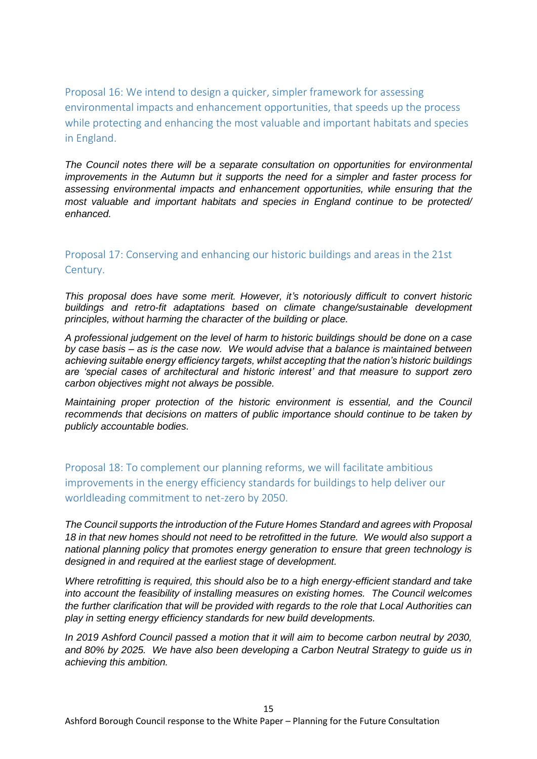Proposal 16: We intend to design a quicker, simpler framework for assessing environmental impacts and enhancement opportunities, that speeds up the process while protecting and enhancing the most valuable and important habitats and species in England.

*The Council notes there will be a separate consultation on opportunities for environmental improvements in the Autumn but it supports the need for a simpler and faster process for assessing environmental impacts and enhancement opportunities, while ensuring that the most valuable and important habitats and species in England continue to be protected/ enhanced.*

### Proposal 17: Conserving and enhancing our historic buildings and areas in the 21st Century.

*This proposal does have some merit. However, it's notoriously difficult to convert historic buildings and retro-fit adaptations based on climate change/sustainable development principles, without harming the character of the building or place.*

*A professional judgement on the level of harm to historic buildings should be done on a case by case basis – as is the case now. We would advise that a balance is maintained between achieving suitable energy efficiency targets, whilst accepting that the nation's historic buildings are 'special cases of architectural and historic interest' and that measure to support zero carbon objectives might not always be possible.*

*Maintaining proper protection of the historic environment is essential, and the Council recommends that decisions on matters of public importance should continue to be taken by publicly accountable bodies.*

Proposal 18: To complement our planning reforms, we will facilitate ambitious improvements in the energy efficiency standards for buildings to help deliver our worldleading commitment to net-zero by 2050.

*The Council supports the introduction of the Future Homes Standard and agrees with Proposal 18 in that new homes should not need to be retrofitted in the future. We would also support a national planning policy that promotes energy generation to ensure that green technology is designed in and required at the earliest stage of development.*

*Where retrofitting is required, this should also be to a high energy-efficient standard and take into account the feasibility of installing measures on existing homes. The Council welcomes the further clarification that will be provided with regards to the role that Local Authorities can play in setting energy efficiency standards for new build developments.*

*In 2019 Ashford Council passed a motion that it will aim to become carbon neutral by 2030, and 80% by 2025. We have also been developing a Carbon Neutral Strategy to guide us in achieving this ambition.*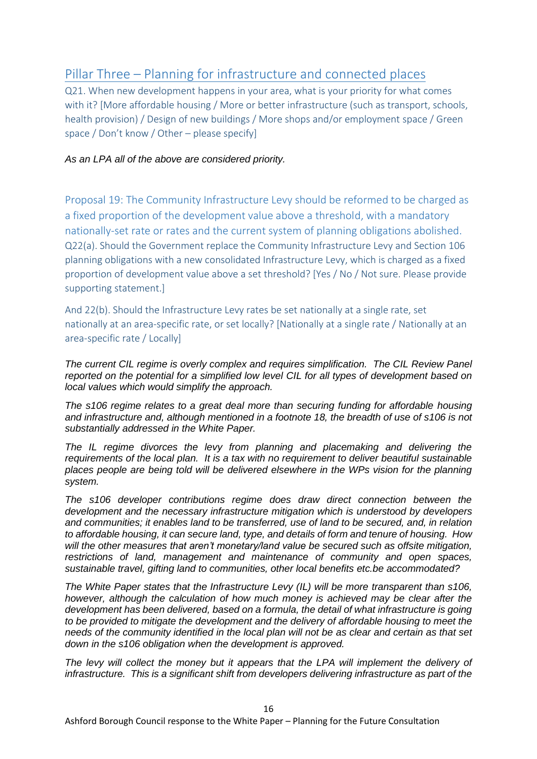## Pillar Three – Planning for infrastructure and connected places

Q21. When new development happens in your area, what is your priority for what comes with it? [More affordable housing / More or better infrastructure (such as transport, schools, health provision) / Design of new buildings / More shops and/or employment space / Green space / Don't know / Other – please specify]

#### *As an LPA all of the above are considered priority.*

Proposal 19: The Community Infrastructure Levy should be reformed to be charged as a fixed proportion of the development value above a threshold, with a mandatory nationally-set rate or rates and the current system of planning obligations abolished. Q22(a). Should the Government replace the Community Infrastructure Levy and Section 106 planning obligations with a new consolidated Infrastructure Levy, which is charged as a fixed proportion of development value above a set threshold? [Yes / No / Not sure. Please provide supporting statement.]

And 22(b). Should the Infrastructure Levy rates be set nationally at a single rate, set nationally at an area-specific rate, or set locally? [Nationally at a single rate / Nationally at an area-specific rate / Locally]

*The current CIL regime is overly complex and requires simplification. The CIL Review Panel reported on the potential for a simplified low level CIL for all types of development based on local values which would simplify the approach.* 

*The s106 regime relates to a great deal more than securing funding for affordable housing and infrastructure and, although mentioned in a footnote 18, the breadth of use of s106 is not substantially addressed in the White Paper.* 

*The IL regime divorces the levy from planning and placemaking and delivering the requirements of the local plan. It is a tax with no requirement to deliver beautiful sustainable places people are being told will be delivered elsewhere in the WPs vision for the planning system.* 

*The s106 developer contributions regime does draw direct connection between the development and the necessary infrastructure mitigation which is understood by developers and communities; it enables land to be transferred, use of land to be secured, and, in relation to affordable housing, it can secure land, type, and details of form and tenure of housing. How will the other measures that aren't monetary/land value be secured such as offsite mitigation, restrictions of land, management and maintenance of community and open spaces, sustainable travel, gifting land to communities, other local benefits etc.be accommodated?* 

*The White Paper states that the Infrastructure Levy (IL) will be more transparent than s106, however, although the calculation of how much money is achieved may be clear after the development has been delivered, based on a formula, the detail of what infrastructure is going to be provided to mitigate the development and the delivery of affordable housing to meet the needs of the community identified in the local plan will not be as clear and certain as that set down in the s106 obligation when the development is approved.* 

*The levy will collect the money but it appears that the LPA will implement the delivery of infrastructure. This is a significant shift from developers delivering infrastructure as part of the* 

16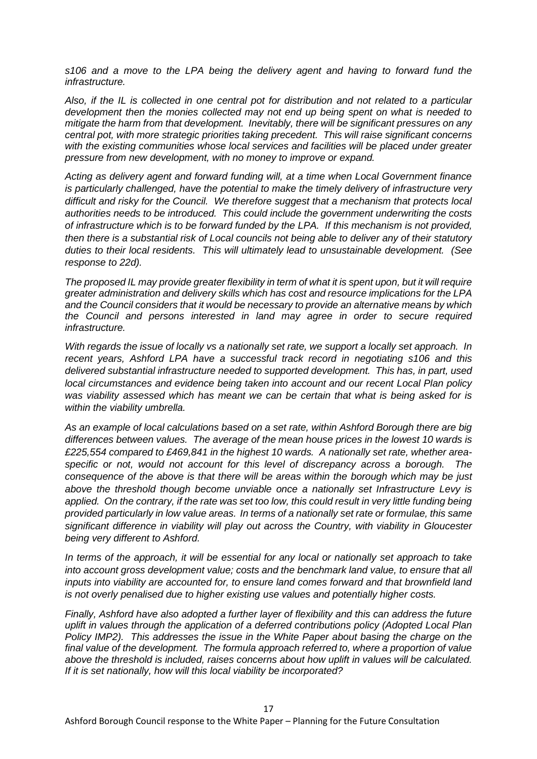*s106 and a move to the LPA being the delivery agent and having to forward fund the infrastructure.*

*Also, if the IL is collected in one central pot for distribution and not related to a particular development then the monies collected may not end up being spent on what is needed to mitigate the harm from that development. Inevitably, there will be significant pressures on any central pot, with more strategic priorities taking precedent. This will raise significant concerns with the existing communities whose local services and facilities will be placed under greater pressure from new development, with no money to improve or expand.*

*Acting as delivery agent and forward funding will, at a time when Local Government finance is particularly challenged, have the potential to make the timely delivery of infrastructure very difficult and risky for the Council. We therefore suggest that a mechanism that protects local authorities needs to be introduced. This could include the government underwriting the costs of infrastructure which is to be forward funded by the LPA. If this mechanism is not provided, then there is a substantial risk of Local councils not being able to deliver any of their statutory duties to their local residents. This will ultimately lead to unsustainable development. (See response to 22d).*

*The proposed IL may provide greater flexibility in term of what it is spent upon, but it will require greater administration and delivery skills which has cost and resource implications for the LPA and the Council considers that it would be necessary to provide an alternative means by which the Council and persons interested in land may agree in order to secure required infrastructure.*

*With regards the issue of locally vs a nationally set rate, we support a locally set approach. In recent years, Ashford LPA have a successful track record in negotiating s106 and this delivered substantial infrastructure needed to supported development. This has, in part, used local circumstances and evidence being taken into account and our recent Local Plan policy was viability assessed which has meant we can be certain that what is being asked for is within the viability umbrella.*

*As an example of local calculations based on a set rate, within Ashford Borough there are big differences between values. The average of the mean house prices in the lowest 10 wards is £225,554 compared to £469,841 in the highest 10 wards. A nationally set rate, whether areaspecific or not, would not account for this level of discrepancy across a borough. The consequence of the above is that there will be areas within the borough which may be just above the threshold though become unviable once a nationally set Infrastructure Levy is*  applied. On the contrary, if the rate was set too low, this could result in very little funding being *provided particularly in low value areas. In terms of a nationally set rate or formulae, this same significant difference in viability will play out across the Country, with viability in Gloucester being very different to Ashford.*

*In terms of the approach, it will be essential for any local or nationally set approach to take into account gross development value; costs and the benchmark land value, to ensure that all inputs into viability are accounted for, to ensure land comes forward and that brownfield land is not overly penalised due to higher existing use values and potentially higher costs.*

*Finally, Ashford have also adopted a further layer of flexibility and this can address the future uplift in values through the application of a deferred contributions policy (Adopted Local Plan Policy IMP2). This addresses the issue in the White Paper about basing the charge on the final value of the development. The formula approach referred to, where a proportion of value above the threshold is included, raises concerns about how uplift in values will be calculated. If it is set nationally, how will this local viability be incorporated?*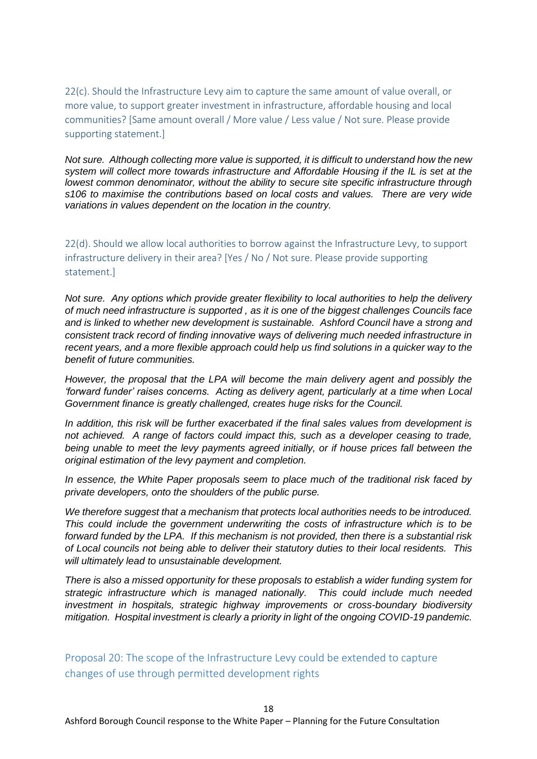22(c). Should the Infrastructure Levy aim to capture the same amount of value overall, or more value, to support greater investment in infrastructure, affordable housing and local communities? [Same amount overall / More value / Less value / Not sure. Please provide supporting statement.]

*Not sure. Although collecting more value is supported, it is difficult to understand how the new system will collect more towards infrastructure and Affordable Housing if the IL is set at the lowest common denominator, without the ability to secure site specific infrastructure through s106 to maximise the contributions based on local costs and values. There are very wide variations in values dependent on the location in the country.*

22(d). Should we allow local authorities to borrow against the Infrastructure Levy, to support infrastructure delivery in their area? [Yes / No / Not sure. Please provide supporting statement.]

*Not sure. Any options which provide greater flexibility to local authorities to help the delivery of much need infrastructure is supported , as it is one of the biggest challenges Councils face and is linked to whether new development is sustainable. Ashford Council have a strong and consistent track record of finding innovative ways of delivering much needed infrastructure in recent years, and a more flexible approach could help us find solutions in a quicker way to the benefit of future communities.*

*However, the proposal that the LPA will become the main delivery agent and possibly the 'forward funder' raises concerns. Acting as delivery agent, particularly at a time when Local Government finance is greatly challenged, creates huge risks for the Council.*

*In addition, this risk will be further exacerbated if the final sales values from development is not achieved. A range of factors could impact this, such as a developer ceasing to trade, being unable to meet the levy payments agreed initially, or if house prices fall between the original estimation of the levy payment and completion.*

*In essence, the White Paper proposals seem to place much of the traditional risk faced by private developers, onto the shoulders of the public purse.*

*We therefore suggest that a mechanism that protects local authorities needs to be introduced. This could include the government underwriting the costs of infrastructure which is to be forward funded by the LPA. If this mechanism is not provided, then there is a substantial risk of Local councils not being able to deliver their statutory duties to their local residents. This will ultimately lead to unsustainable development.*

*There is also a missed opportunity for these proposals to establish a wider funding system for strategic infrastructure which is managed nationally. This could include much needed investment in hospitals, strategic highway improvements or cross-boundary biodiversity mitigation. Hospital investment is clearly a priority in light of the ongoing COVID-19 pandemic.* 

Proposal 20: The scope of the Infrastructure Levy could be extended to capture changes of use through permitted development rights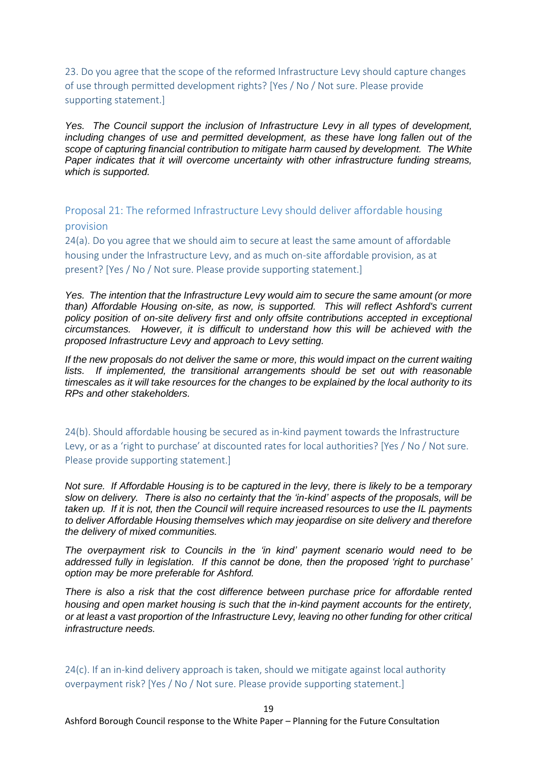23. Do you agree that the scope of the reformed Infrastructure Levy should capture changes of use through permitted development rights? [Yes / No / Not sure. Please provide supporting statement.]

*Yes. The Council support the inclusion of Infrastructure Levy in all types of development, including changes of use and permitted development, as these have long fallen out of the scope of capturing financial contribution to mitigate harm caused by development. The White Paper indicates that it will overcome uncertainty with other infrastructure funding streams, which is supported.*

Proposal 21: The reformed Infrastructure Levy should deliver affordable housing provision

24(a). Do you agree that we should aim to secure at least the same amount of affordable housing under the Infrastructure Levy, and as much on-site affordable provision, as at present? [Yes / No / Not sure. Please provide supporting statement.]

*Yes. The intention that the Infrastructure Levy would aim to secure the same amount (or more than) Affordable Housing on-site, as now, is supported. This will reflect Ashford's current policy position of on-site delivery first and only offsite contributions accepted in exceptional circumstances. However, it is difficult to understand how this will be achieved with the proposed Infrastructure Levy and approach to Levy setting.*

*If the new proposals do not deliver the same or more, this would impact on the current waiting lists. If implemented, the transitional arrangements should be set out with reasonable timescales as it will take resources for the changes to be explained by the local authority to its RPs and other stakeholders.*

24(b). Should affordable housing be secured as in-kind payment towards the Infrastructure Levy, or as a 'right to purchase' at discounted rates for local authorities? [Yes / No / Not sure. Please provide supporting statement.]

*Not sure. If Affordable Housing is to be captured in the levy, there is likely to be a temporary slow on delivery. There is also no certainty that the 'in-kind' aspects of the proposals, will be taken up. If it is not, then the Council will require increased resources to use the IL payments to deliver Affordable Housing themselves which may jeopardise on site delivery and therefore the delivery of mixed communities.*

*The overpayment risk to Councils in the 'in kind' payment scenario would need to be addressed fully in legislation. If this cannot be done, then the proposed 'right to purchase' option may be more preferable for Ashford.*

*There is also a risk that the cost difference between purchase price for affordable rented housing and open market housing is such that the in-kind payment accounts for the entirety, or at least a vast proportion of the Infrastructure Levy, leaving no other funding for other critical infrastructure needs.*

24(c). If an in-kind delivery approach is taken, should we mitigate against local authority overpayment risk? [Yes / No / Not sure. Please provide supporting statement.]